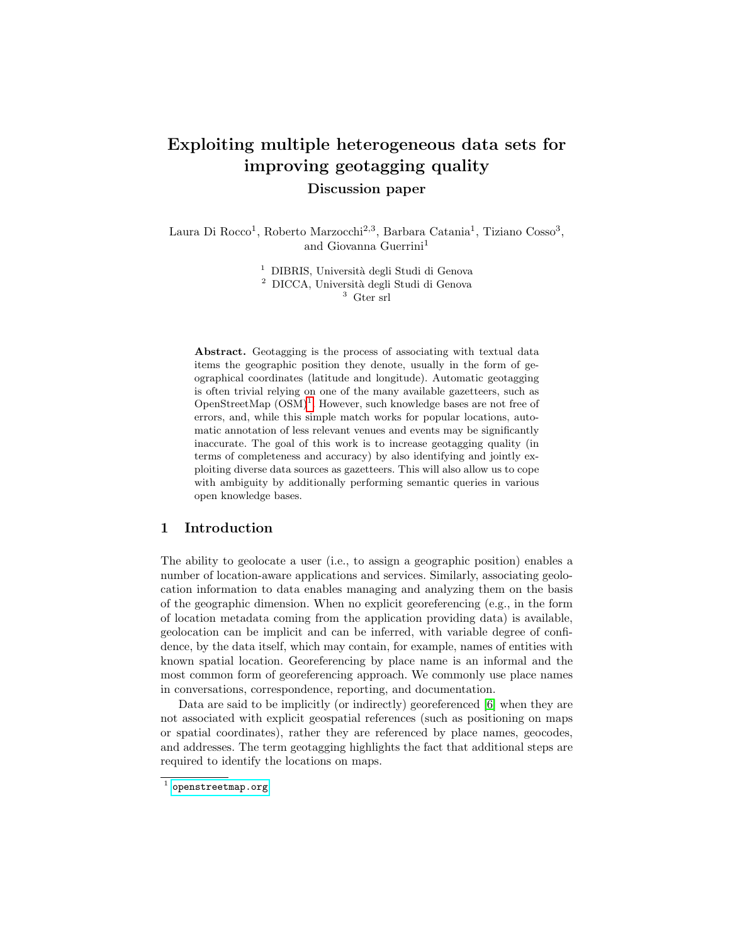# Exploiting multiple heterogeneous data sets for improving geotagging quality

Discussion paper

Laura Di Rocco<sup>1</sup>, Roberto Marzocchi<sup>2,3</sup>, Barbara Catania<sup>1</sup>, Tiziano Cosso<sup>3</sup>, and Giovanna Guerrini<sup>1</sup>

> <sup>1</sup> DIBRIS, Università degli Studi di Genova <sup>2</sup> DICCA, Università degli Studi di Genova

<sup>3</sup> Gter srl

Abstract. Geotagging is the process of associating with textual data items the geographic position they denote, usually in the form of geographical coordinates (latitude and longitude). Automatic geotagging is often trivial relying on one of the many available gazetteers, such as OpenStreetMap  $(OSM)^1$  $(OSM)^1$ . However, such knowledge bases are not free of errors, and, while this simple match works for popular locations, automatic annotation of less relevant venues and events may be significantly inaccurate. The goal of this work is to increase geotagging quality (in terms of completeness and accuracy) by also identifying and jointly exploiting diverse data sources as gazetteers. This will also allow us to cope with ambiguity by additionally performing semantic queries in various open knowledge bases.

# 1 Introduction

The ability to geolocate a user (i.e., to assign a geographic position) enables a number of location-aware applications and services. Similarly, associating geolocation information to data enables managing and analyzing them on the basis of the geographic dimension. When no explicit georeferencing (e.g., in the form of location metadata coming from the application providing data) is available, geolocation can be implicit and can be inferred, with variable degree of confidence, by the data itself, which may contain, for example, names of entities with known spatial location. Georeferencing by place name is an informal and the most common form of georeferencing approach. We commonly use place names in conversations, correspondence, reporting, and documentation.

Data are said to be implicitly (or indirectly) georeferenced [\[6\]](#page-7-0) when they are not associated with explicit geospatial references (such as positioning on maps or spatial coordinates), rather they are referenced by place names, geocodes, and addresses. The term geotagging highlights the fact that additional steps are required to identify the locations on maps.

<span id="page-0-0"></span> $^{\rm 1}$  <openstreetmap.org>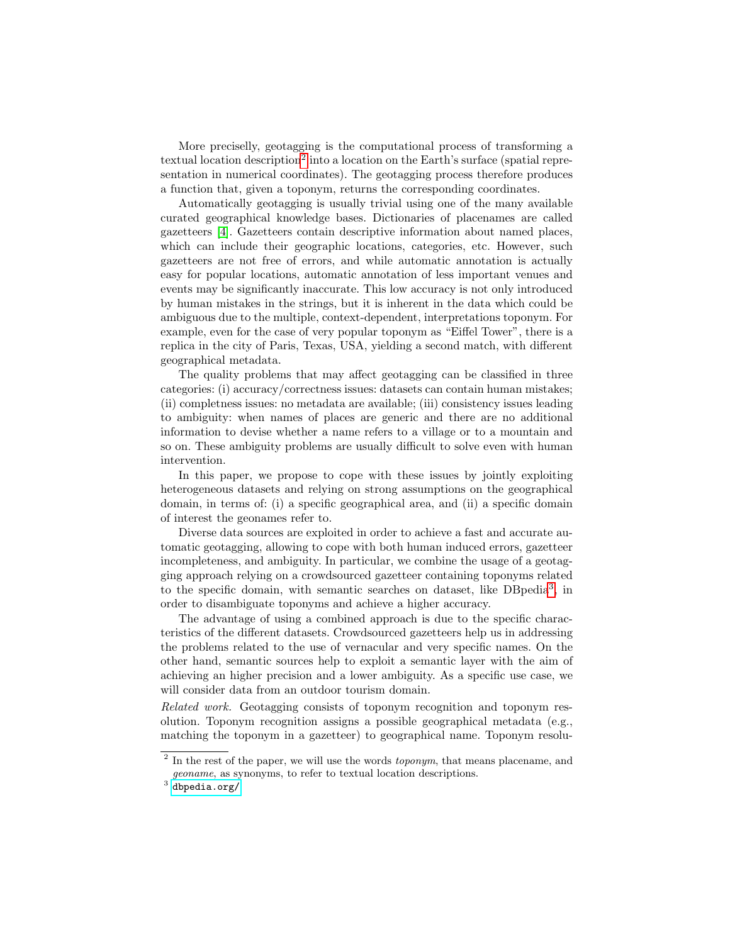More preciselly, geotagging is the computational process of transforming a textual location description<sup>[2](#page-1-0)</sup> into a location on the Earth's surface (spatial representation in numerical coordinates). The geotagging process therefore produces a function that, given a toponym, returns the corresponding coordinates.

Automatically geotagging is usually trivial using one of the many available curated geographical knowledge bases. Dictionaries of placenames are called gazetteers [\[4\]](#page-7-1). Gazetteers contain descriptive information about named places, which can include their geographic locations, categories, etc. However, such gazetteers are not free of errors, and while automatic annotation is actually easy for popular locations, automatic annotation of less important venues and events may be significantly inaccurate. This low accuracy is not only introduced by human mistakes in the strings, but it is inherent in the data which could be ambiguous due to the multiple, context-dependent, interpretations toponym. For example, even for the case of very popular toponym as "Eiffel Tower", there is a replica in the city of Paris, Texas, USA, yielding a second match, with different geographical metadata.

The quality problems that may affect geotagging can be classified in three categories: (i) accuracy/correctness issues: datasets can contain human mistakes; (ii) completness issues: no metadata are available; (iii) consistency issues leading to ambiguity: when names of places are generic and there are no additional information to devise whether a name refers to a village or to a mountain and so on. These ambiguity problems are usually difficult to solve even with human intervention.

In this paper, we propose to cope with these issues by jointly exploiting heterogeneous datasets and relying on strong assumptions on the geographical domain, in terms of: (i) a specific geographical area, and (ii) a specific domain of interest the geonames refer to.

Diverse data sources are exploited in order to achieve a fast and accurate automatic geotagging, allowing to cope with both human induced errors, gazetteer incompleteness, and ambiguity. In particular, we combine the usage of a geotagging approach relying on a crowdsourced gazetteer containing toponyms related to the specific domain, with semantic searches on dataset, like DBpedia<sup>[3](#page-1-1)</sup>, in order to disambiguate toponyms and achieve a higher accuracy.

The advantage of using a combined approach is due to the specific characteristics of the different datasets. Crowdsourced gazetteers help us in addressing the problems related to the use of vernacular and very specific names. On the other hand, semantic sources help to exploit a semantic layer with the aim of achieving an higher precision and a lower ambiguity. As a specific use case, we will consider data from an outdoor tourism domain.

Related work. Geotagging consists of toponym recognition and toponym resolution. Toponym recognition assigns a possible geographical metadata (e.g., matching the toponym in a gazetteer) to geographical name. Toponym resolu-

<span id="page-1-0"></span> $2$  In the rest of the paper, we will use the words *toponym*, that means placename, and geoname, as synonyms, to refer to textual location descriptions.

<span id="page-1-1"></span> $^3$  <dbpedia.org/>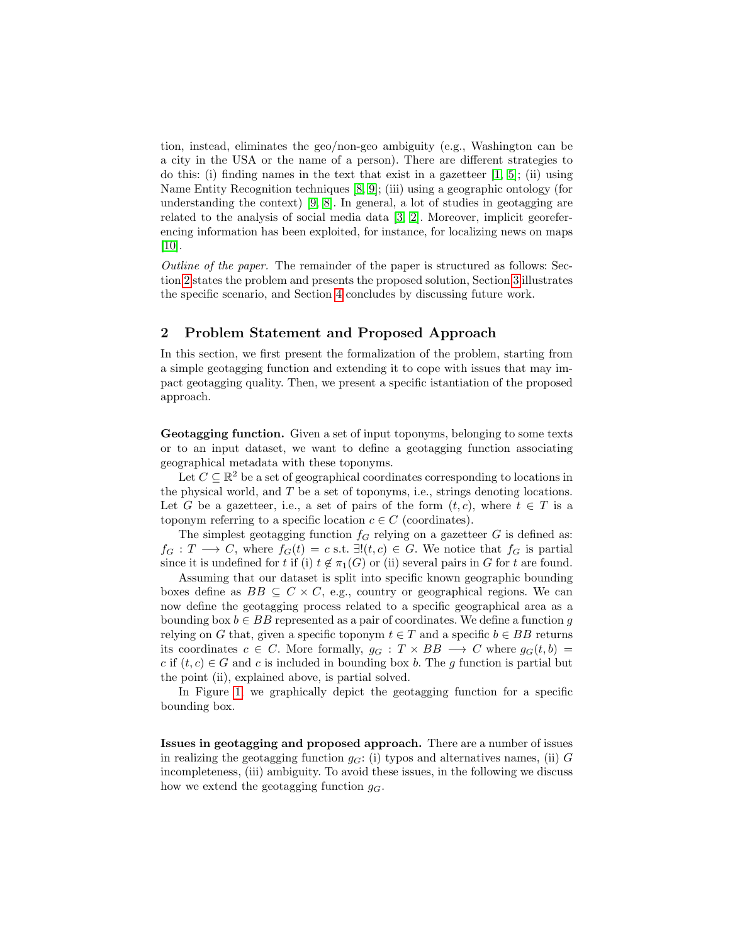tion, instead, eliminates the geo/non-geo ambiguity (e.g., Washington can be a city in the USA or the name of a person). There are different strategies to do this: (i) finding names in the text that exist in a gazetteer  $[1, 5]$  $[1, 5]$ ; (ii) using Name Entity Recognition techniques [\[8,](#page-7-4) [9\]](#page-7-5); (iii) using a geographic ontology (for understanding the context) [\[9,](#page-7-5) [8\]](#page-7-4). In general, a lot of studies in geotagging are related to the analysis of social media data [\[3,](#page-7-6) [2\]](#page-7-7). Moreover, implicit georeferencing information has been exploited, for instance, for localizing news on maps [\[10\]](#page-7-8).

Outline of the paper. The remainder of the paper is structured as follows: Section [2](#page-2-0) states the problem and presents the proposed solution, Section [3](#page-5-0) illustrates the specific scenario, and Section [4](#page-6-0) concludes by discussing future work.

### <span id="page-2-0"></span>2 Problem Statement and Proposed Approach

In this section, we first present the formalization of the problem, starting from a simple geotagging function and extending it to cope with issues that may impact geotagging quality. Then, we present a specific istantiation of the proposed approach.

Geotagging function. Given a set of input toponyms, belonging to some texts or to an input dataset, we want to define a geotagging function associating geographical metadata with these toponyms.

Let  $C \subseteq \mathbb{R}^2$  be a set of geographical coordinates corresponding to locations in the physical world, and  $T$  be a set of toponyms, i.e., strings denoting locations. Let G be a gazetteer, i.e., a set of pairs of the form  $(t, c)$ , where  $t \in T$  is a toponym referring to a specific location  $c \in C$  (coordinates).

The simplest geotagging function  $f<sub>G</sub>$  relying on a gazetteer G is defined as:  $f_G: T \longrightarrow C$ , where  $f_G(t) = c$  s.t.  $\exists! (t, c) \in G$ . We notice that  $f_G$  is partial since it is undefined for t if (i)  $t \notin \pi_1(G)$  or (ii) several pairs in G for t are found.

Assuming that our dataset is split into specific known geographic bounding boxes define as  $BB \subseteq C \times C$ , e.g., country or geographical regions. We can now define the geotagging process related to a specific geographical area as a bounding box  $b \in BB$  represented as a pair of coordinates. We define a function q relying on G that, given a specific toponym  $t \in T$  and a specific  $b \in BB$  returns its coordinates  $c \in C$ . More formally,  $g_G : T \times BB \longrightarrow C$  where  $g_G(t, b) =$ c if  $(t, c) \in G$  and c is included in bounding box b. The g function is partial but the point (ii), explained above, is partial solved.

In Figure [1,](#page-3-0) we graphically depict the geotagging function for a specific bounding box.

Issues in geotagging and proposed approach. There are a number of issues in realizing the geotagging function  $q_G$ : (i) typos and alternatives names, (ii) G incompleteness, (iii) ambiguity. To avoid these issues, in the following we discuss how we extend the geotagging function  $g_G$ .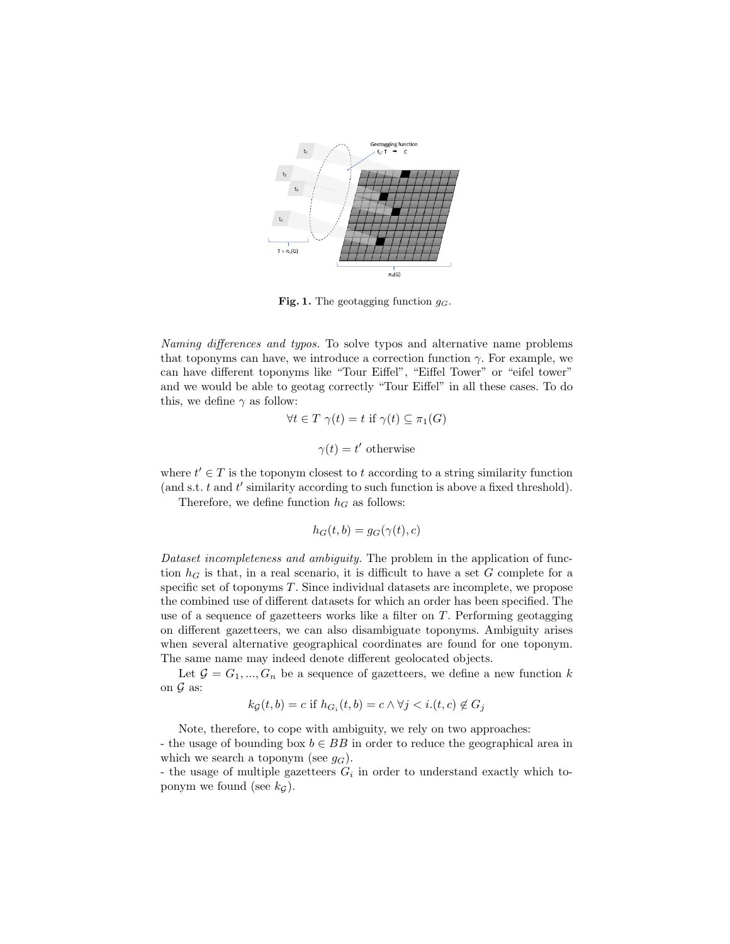

<span id="page-3-0"></span>Fig. 1. The geotagging function  $g_G$ .

Naming differences and typos. To solve typos and alternative name problems that toponyms can have, we introduce a correction function  $\gamma$ . For example, we can have different toponyms like "Tour Eiffel", "Eiffel Tower" or "eifel tower" and we would be able to geotag correctly "Tour Eiffel" in all these cases. To do this, we define  $\gamma$  as follow:

$$
\forall t \in T \ \gamma(t) = t \ \text{if} \ \gamma(t) \subseteq \pi_1(G)
$$

 $\gamma(t) = t'$  otherwise

where  $t' \in T$  is the toponym closest to t according to a string similarity function (and s.t.  $t$  and  $t'$  similarity according to such function is above a fixed threshold).

Therefore, we define function  $h_G$  as follows:

$$
h_G(t, b) = g_G(\gamma(t), c)
$$

Dataset incompleteness and ambiguity. The problem in the application of function  $h<sub>G</sub>$  is that, in a real scenario, it is difficult to have a set G complete for a specific set of toponyms T. Since individual datasets are incomplete, we propose the combined use of different datasets for which an order has been specified. The use of a sequence of gazetteers works like a filter on  $T$ . Performing geotagging on different gazetteers, we can also disambiguate toponyms. Ambiguity arises when several alternative geographical coordinates are found for one toponym. The same name may indeed denote different geolocated objects.

Let  $G = G_1, ..., G_n$  be a sequence of gazetteers, we define a new function k on  ${\mathcal G}$  as:

$$
k_{\mathcal{G}}(t,b) = c \text{ if } h_{G_i}(t,b) = c \land \forall j < i.(t,c) \notin G_j
$$

Note, therefore, to cope with ambiguity, we rely on two approaches: - the usage of bounding box  $b \in BB$  in order to reduce the geographical area in which we search a toponym (see  $q_G$ ).

- the usage of multiple gazetteers  $G_i$  in order to understand exactly which toponym we found (see  $k<sub>G</sub>$ ).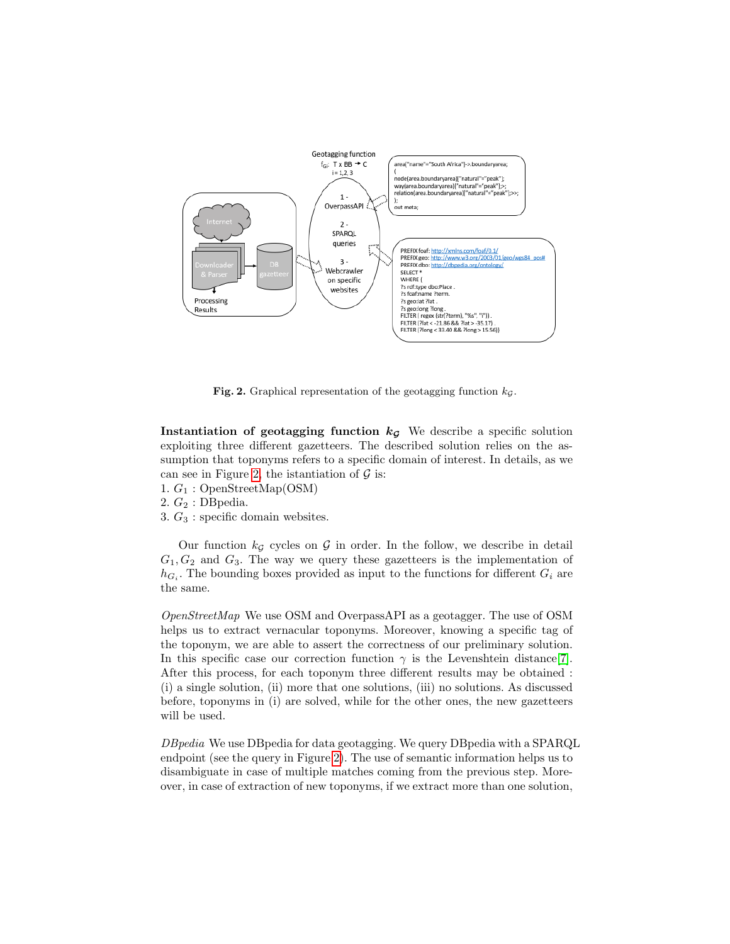

<span id="page-4-0"></span>Fig. 2. Graphical representation of the geotagging function  $k_{\mathcal{G}}$ .

Instantiation of geotagging function  $k<sub>G</sub>$  We describe a specific solution exploiting three different gazetteers. The described solution relies on the assumption that toponyms refers to a specific domain of interest. In details, as we can see in Figure [2,](#page-4-0) the istantiation of  $\mathcal G$  is:

1.  $G_1$ : OpenStreetMap(OSM)

2.  $G_2$ : DB pedia.

3.  $G_3$ : specific domain websites.

Our function  $k_G$  cycles on G in order. In the follow, we describe in detail  $G_1, G_2$  and  $G_3$ . The way we query these gazetteers is the implementation of  $h_{G_i}$ . The bounding boxes provided as input to the functions for different  $G_i$  are the same.

OpenStreetMap We use OSM and OverpassAPI as a geotagger. The use of OSM helps us to extract vernacular toponyms. Moreover, knowing a specific tag of the toponym, we are able to assert the correctness of our preliminary solution. In this specific case our correction function  $\gamma$  is the Levenshtein distance [\[7\]](#page-7-9). After this process, for each toponym three different results may be obtained : (i) a single solution, (ii) more that one solutions, (iii) no solutions. As discussed before, toponyms in (i) are solved, while for the other ones, the new gazetteers will be used.

DBpedia We use DBpedia for data geotagging. We query DBpedia with a SPARQL endpoint (see the query in Figure [2\)](#page-4-0). The use of semantic information helps us to disambiguate in case of multiple matches coming from the previous step. Moreover, in case of extraction of new toponyms, if we extract more than one solution,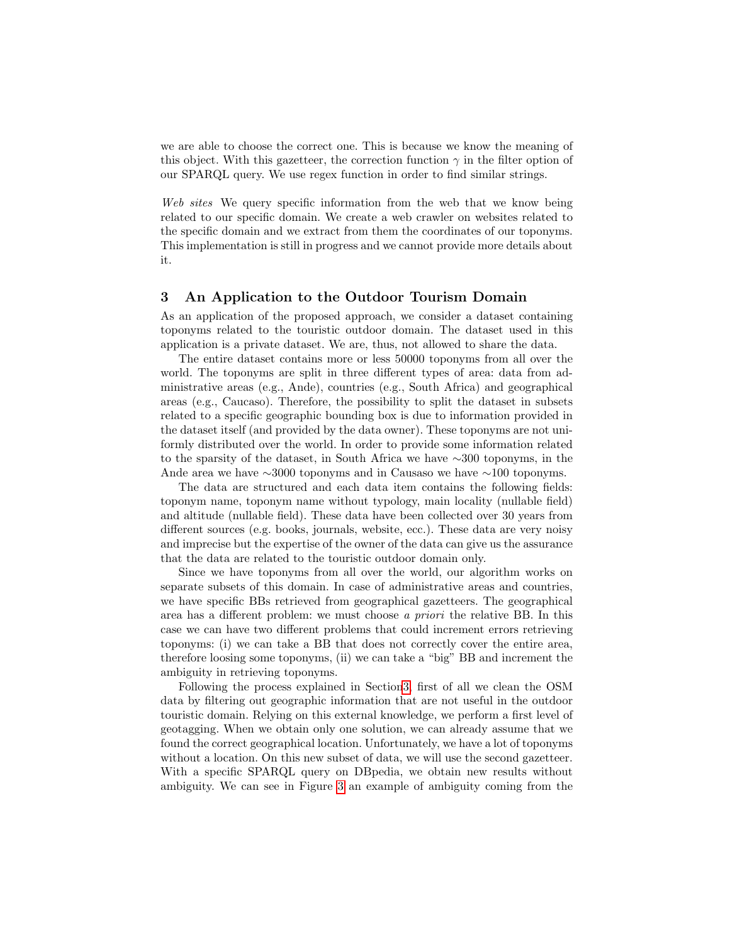we are able to choose the correct one. This is because we know the meaning of this object. With this gazetteer, the correction function  $\gamma$  in the filter option of our SPARQL query. We use regex function in order to find similar strings.

Web sites We query specific information from the web that we know being related to our specific domain. We create a web crawler on websites related to the specific domain and we extract from them the coordinates of our toponyms. This implementation is still in progress and we cannot provide more details about it.

#### <span id="page-5-0"></span>3 An Application to the Outdoor Tourism Domain

As an application of the proposed approach, we consider a dataset containing toponyms related to the touristic outdoor domain. The dataset used in this application is a private dataset. We are, thus, not allowed to share the data.

The entire dataset contains more or less 50000 toponyms from all over the world. The toponyms are split in three different types of area: data from administrative areas (e.g., Ande), countries (e.g., South Africa) and geographical areas (e.g., Caucaso). Therefore, the possibility to split the dataset in subsets related to a specific geographic bounding box is due to information provided in the dataset itself (and provided by the data owner). These toponyms are not uniformly distributed over the world. In order to provide some information related to the sparsity of the dataset, in South Africa we have ∼300 toponyms, in the Ande area we have ∼3000 toponyms and in Causaso we have ∼100 toponyms.

The data are structured and each data item contains the following fields: toponym name, toponym name without typology, main locality (nullable field) and altitude (nullable field). These data have been collected over 30 years from different sources (e.g. books, journals, website, ecc.). These data are very noisy and imprecise but the expertise of the owner of the data can give us the assurance that the data are related to the touristic outdoor domain only.

Since we have toponyms from all over the world, our algorithm works on separate subsets of this domain. In case of administrative areas and countries, we have specific BBs retrieved from geographical gazetteers. The geographical area has a different problem: we must choose a priori the relative BB. In this case we can have two different problems that could increment errors retrieving toponyms: (i) we can take a BB that does not correctly cover the entire area, therefore loosing some toponyms, (ii) we can take a "big" BB and increment the ambiguity in retrieving toponyms.

Following the process explained in Sectio[n3,](#page-5-0) first of all we clean the OSM data by filtering out geographic information that are not useful in the outdoor touristic domain. Relying on this external knowledge, we perform a first level of geotagging. When we obtain only one solution, we can already assume that we found the correct geographical location. Unfortunately, we have a lot of toponyms without a location. On this new subset of data, we will use the second gazetteer. With a specific SPARQL query on DBpedia, we obtain new results without ambiguity. We can see in Figure [3](#page-6-1) an example of ambiguity coming from the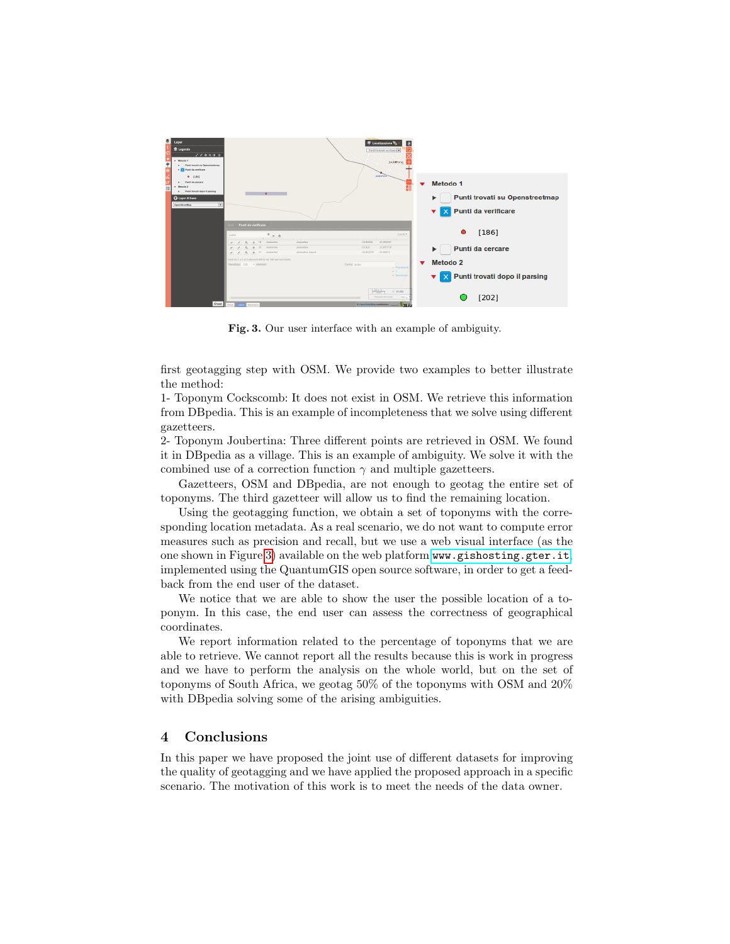

<span id="page-6-1"></span>Fig. 3. Our user interface with an example of ambiguity.

first geotagging step with OSM. We provide two examples to better illustrate the method:

1- Toponym Cockscomb: It does not exist in OSM. We retrieve this information from DBpedia. This is an example of incompleteness that we solve using different gazetteers.

2- Toponym Joubertina: Three different points are retrieved in OSM. We found it in DBpedia as a village. This is an example of ambiguity. We solve it with the combined use of a correction function  $\gamma$  and multiple gazetteers.

Gazetteers, OSM and DBpedia, are not enough to geotag the entire set of toponyms. The third gazetteer will allow us to find the remaining location.

Using the geotagging function, we obtain a set of toponyms with the corresponding location metadata. As a real scenario, we do not want to compute error measures such as precision and recall, but we use a web visual interface (as the one shown in Figure [3\)](#page-6-1) available on the web platform <www.gishosting.gter.it>, implemented using the QuantumGIS open source software, in order to get a feedback from the end user of the dataset.

We notice that we are able to show the user the possible location of a toponym. In this case, the end user can assess the correctness of geographical coordinates.

We report information related to the percentage of toponyms that we are able to retrieve. We cannot report all the results because this is work in progress and we have to perform the analysis on the whole world, but on the set of toponyms of South Africa, we geotag 50% of the toponyms with OSM and 20% with DBpedia solving some of the arising ambiguities.

## <span id="page-6-0"></span>4 Conclusions

In this paper we have proposed the joint use of different datasets for improving the quality of geotagging and we have applied the proposed approach in a specific scenario. The motivation of this work is to meet the needs of the data owner.